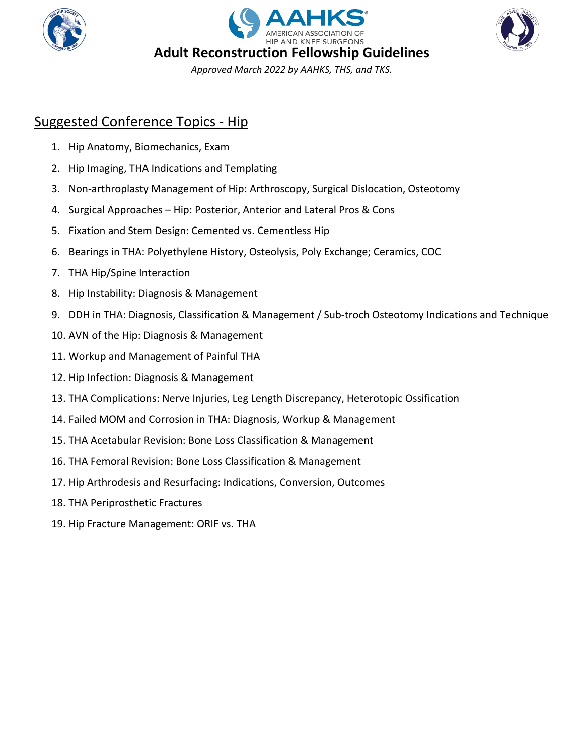





Suggested Conference Topics - Hip

- 1. Hip Anatomy, Biomechanics, Exam
- 2. Hip Imaging, THA Indications and Templating
- 3. Non-arthroplasty Management of Hip: Arthroscopy, Surgical Dislocation, Osteotomy
- 4. Surgical Approaches Hip: Posterior, Anterior and Lateral Pros & Cons
- 5. Fixation and Stem Design: Cemented vs. Cementless Hip
- 6. Bearings in THA: Polyethylene History, Osteolysis, Poly Exchange; Ceramics, COC
- 7. THA Hip/Spine Interaction
- 8. Hip Instability: Diagnosis & Management
- 9. DDH in THA: Diagnosis, Classification & Management / Sub-troch Osteotomy Indications and Technique
- 10. AVN of the Hip: Diagnosis & Management
- 11. Workup and Management of Painful THA
- 12. Hip Infection: Diagnosis & Management
- 13. THA Complications: Nerve Injuries, Leg Length Discrepancy, Heterotopic Ossification
- 14. Failed MOM and Corrosion in THA: Diagnosis, Workup & Management
- 15. THA Acetabular Revision: Bone Loss Classification & Management
- 16. THA Femoral Revision: Bone Loss Classification & Management
- 17. Hip Arthrodesis and Resurfacing: Indications, Conversion, Outcomes
- 18. THA Periprosthetic Fractures
- 19. Hip Fracture Management: ORIF vs. THA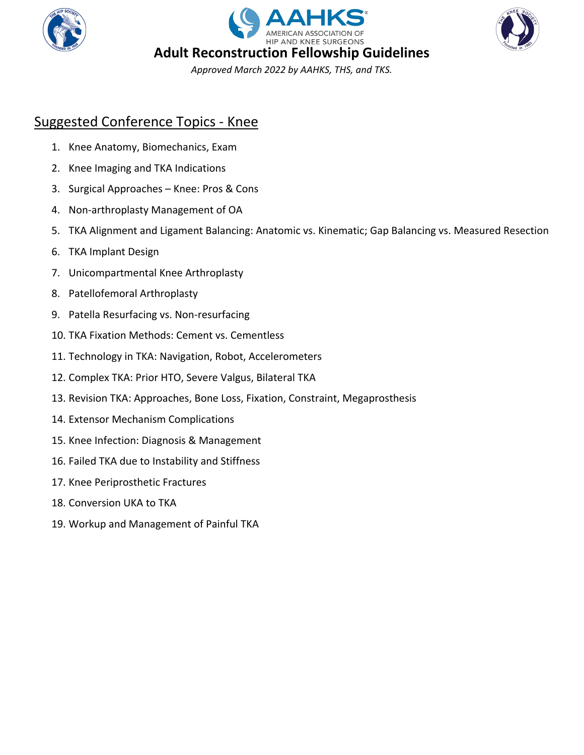





Suggested Conference Topics - Knee

- 1. Knee Anatomy, Biomechanics, Exam
- 2. Knee Imaging and TKA Indications
- 3. Surgical Approaches Knee: Pros & Cons
- 4. Non-arthroplasty Management of OA
- 5. TKA Alignment and Ligament Balancing: Anatomic vs. Kinematic; Gap Balancing vs. Measured Resection
- 6. TKA Implant Design
- 7. Unicompartmental Knee Arthroplasty
- 8. Patellofemoral Arthroplasty
- 9. Patella Resurfacing vs. Non-resurfacing
- 10. TKA Fixation Methods: Cement vs. Cementless
- 11. Technology in TKA: Navigation, Robot, Accelerometers
- 12. Complex TKA: Prior HTO, Severe Valgus, Bilateral TKA
- 13. Revision TKA: Approaches, Bone Loss, Fixation, Constraint, Megaprosthesis
- 14. Extensor Mechanism Complications
- 15. Knee Infection: Diagnosis & Management
- 16. Failed TKA due to Instability and Stiffness
- 17. Knee Periprosthetic Fractures
- 18. Conversion UKA to TKA
- 19. Workup and Management of Painful TKA